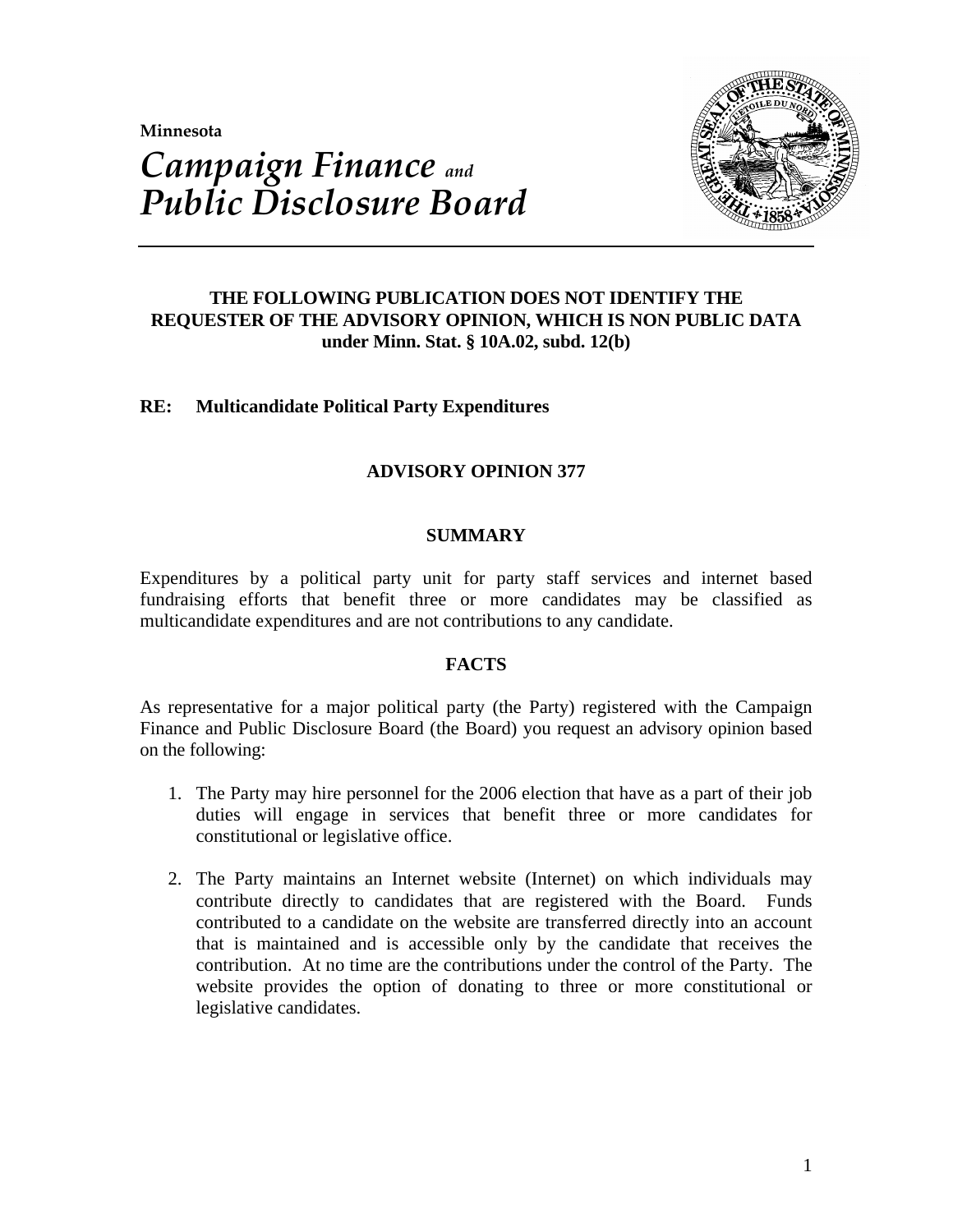**Minnesota** 



# *Campaign Finance and Public Disclosure Board*

# **THE FOLLOWING PUBLICATION DOES NOT IDENTIFY THE REQUESTER OF THE ADVISORY OPINION, WHICH IS NON PUBLIC DATA under Minn. Stat. § 10A.02, subd. 12(b)**

# **RE: Multicandidate Political Party Expenditures**

# **ADVISORY OPINION 377**

## **SUMMARY**

Expenditures by a political party unit for party staff services and internet based fundraising efforts that benefit three or more candidates may be classified as multicandidate expenditures and are not contributions to any candidate.

#### **FACTS**

As representative for a major political party (the Party) registered with the Campaign Finance and Public Disclosure Board (the Board) you request an advisory opinion based on the following:

- 1. The Party may hire personnel for the 2006 election that have as a part of their job duties will engage in services that benefit three or more candidates for constitutional or legislative office.
- 2. The Party maintains an Internet website (Internet) on which individuals may contribute directly to candidates that are registered with the Board. Funds contributed to a candidate on the website are transferred directly into an account that is maintained and is accessible only by the candidate that receives the contribution. At no time are the contributions under the control of the Party. The website provides the option of donating to three or more constitutional or legislative candidates.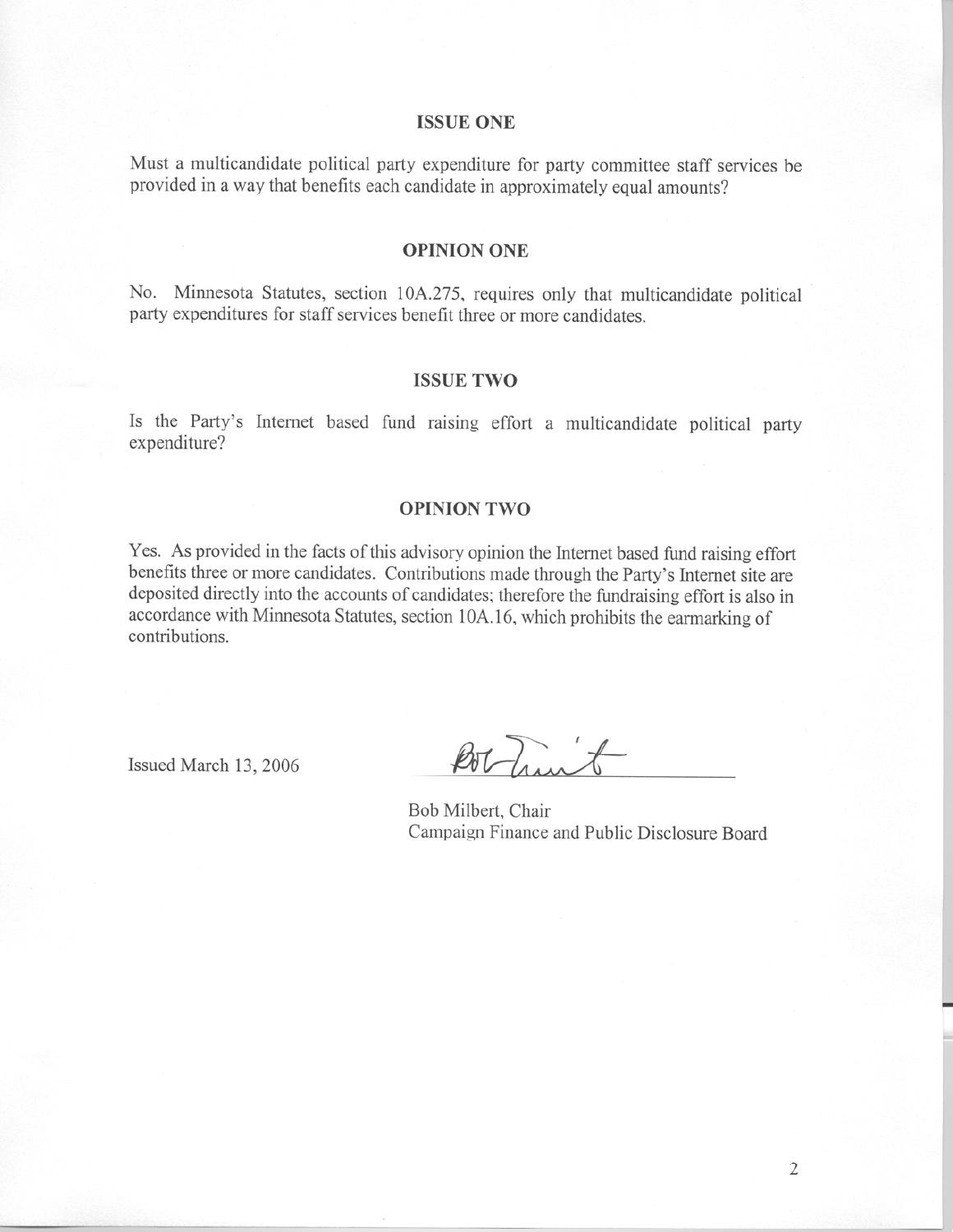#### **ISSUE ONE**

Must a multicandidate political party expenditure for party committee staff services be provided in a way that benefits each candidate in approximately equal amounts?

#### **OPINION ONE**

No. Minnesota Statutes, section 10A.275, requires only that multicandidate political party expenditures for staff services benefit three or more candidates.

#### **ISSUE TWO**

Is the Party's Internet based fund raising effort a multicandidate political party expenditure?

### **OPINION TWO**

Yes. As provided in the facts of this advisory opinion the Internet based fund raising effort benefits three or more candidates. Contributions made through the Party's Internet site are deposited directly into the accounts of candidates; therefore the fundraising effort is also in accordance with Minnesota Statutes, section 10A.16, which prohibits the earmarking of contributions.

Issued March 13, 2006

Bothingt

Bob Milbert, Chair Campaign Finance and Public Disclosure Board